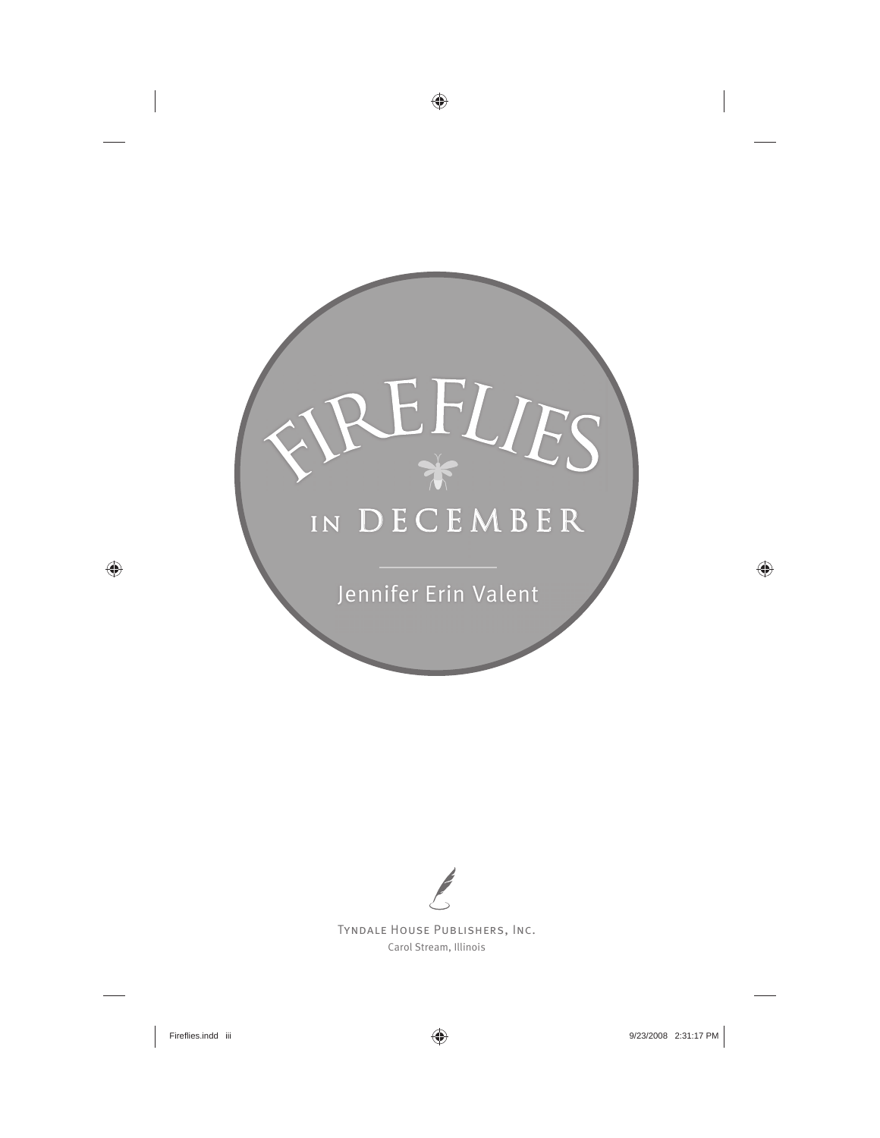# IREFLIES

Jennifer Erin Valent



Tyndale House Publishers, Inc. Carol Stream, Illinois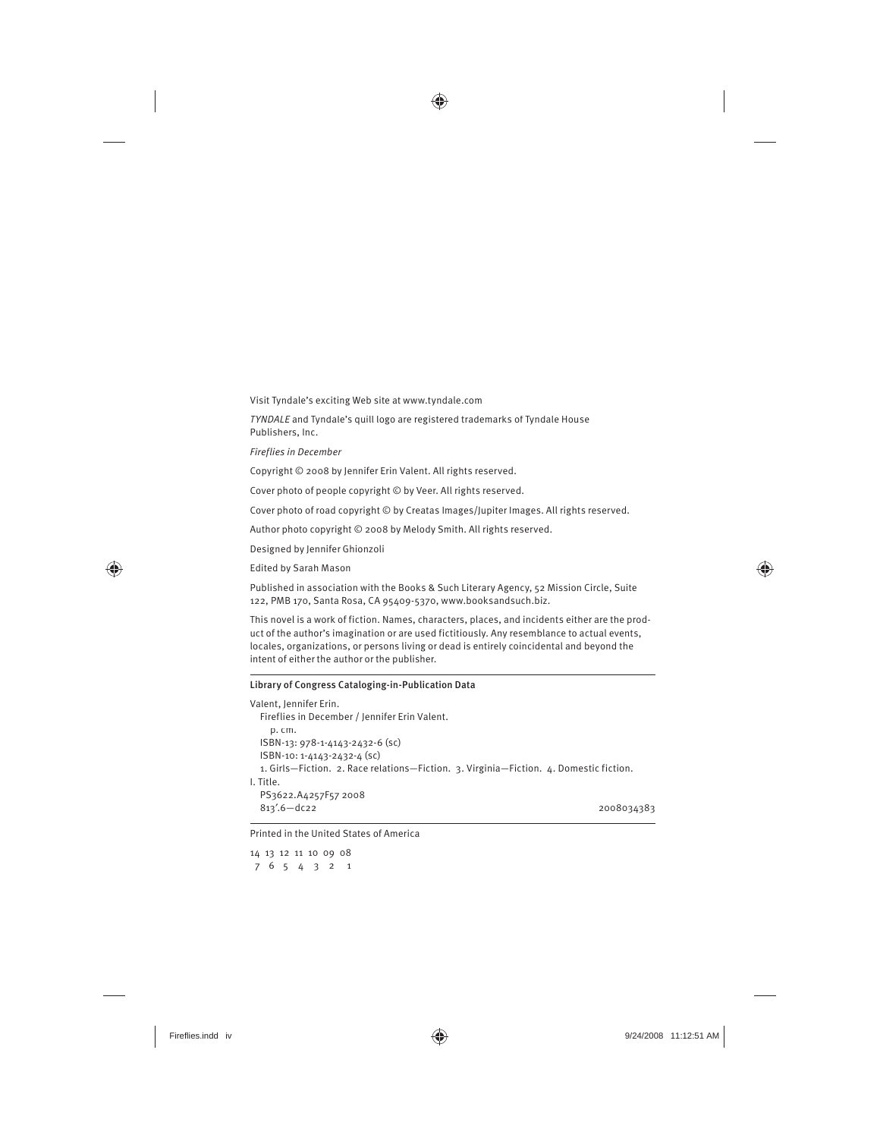Visit Tyndale's exciting Web site at www.tyndale.com

*TYNDALE* and Tyndale's quill logo are registered trademarks of Tyndale House Publishers, Inc.

*Fireflies in December*

Copyright © 2008 by Jennifer Erin Valent. All rights reserved.

Cover photo of people copyright © by Veer. All rights reserved.

Cover photo of road copyright © by Creatas Images/Jupiter Images. All rights reserved.

Author photo copyright © 2008 by Melody Smith. All rights reserved.

Designed by Jennifer Ghionzoli

Edited by Sarah Mason

Published in association with the Books & Such Literary Agency, 52 Mission Circle, Suite 122, PMB 170, Santa Rosa, CA 95409-5370, www.booksandsuch.biz.

This novel is a work of fiction. Names, characters, places, and incidents either are the product of the author's imagination or are used fictitiously. Any resemblance to actual events, locales, organizations, or persons living or dead is entirely coincidental and beyond the intent of either the author or the publisher.

### Library of Congress Cataloging-in-Publication Data

```
Valent, Jennifer Erin.
  Fireflies in December / Jennifer Erin Valent.
    p. cm.
  ISBN-13: 978-1-4143-2432-6 (sc)
   ISBN-10: 1-4143-2432-4 (sc)
   1. Girls—Fiction. 2. Race relations—Fiction. 3. Virginia—Fiction. 4. Domestic fiction. 
I. Title.
  PS3622.A4257F57 2008
   813′.6—dc22 2008034383
```
Printed in the United States of America

14 13 12 11 10 09 08 7 6 5 4 3 2 1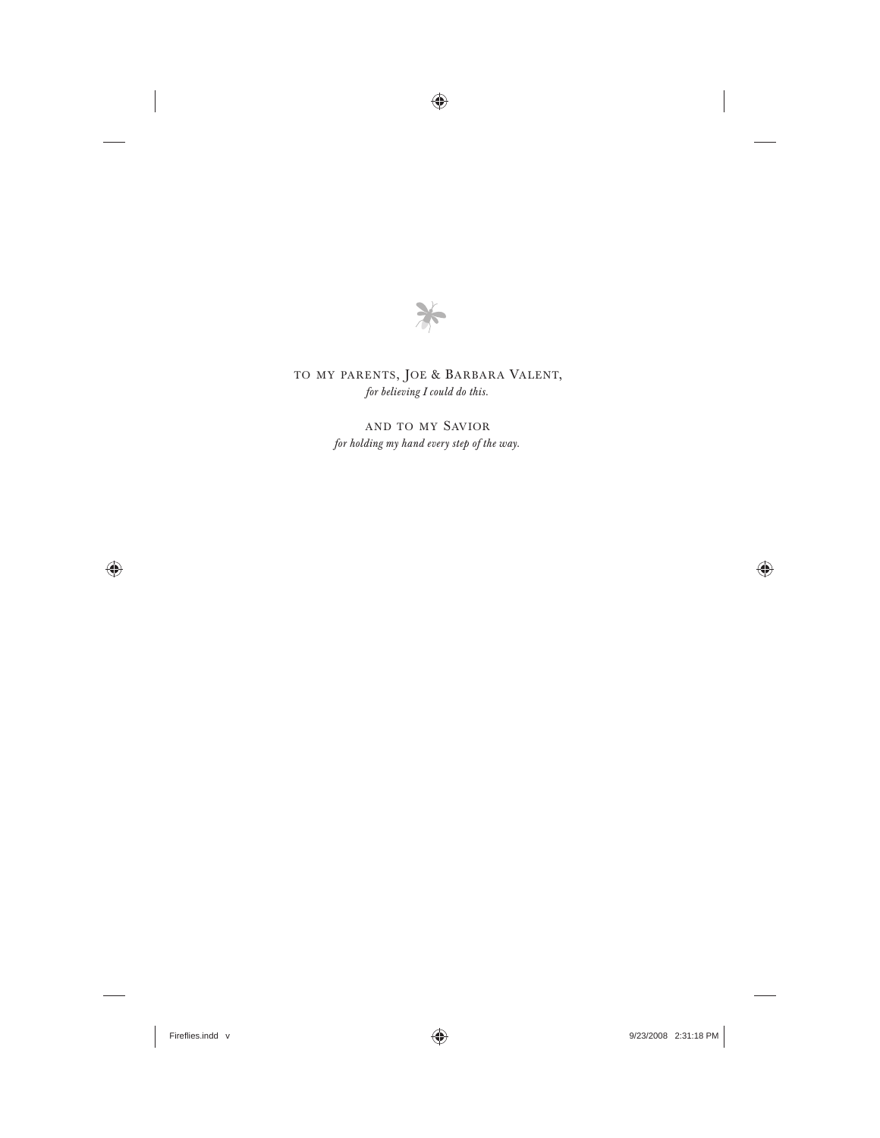

## TO MY PARENTS, JOE & BARBARA VALENT, *for believing I could do this.*

AND TO MY SAVIOR *for holding my hand every step of the way.*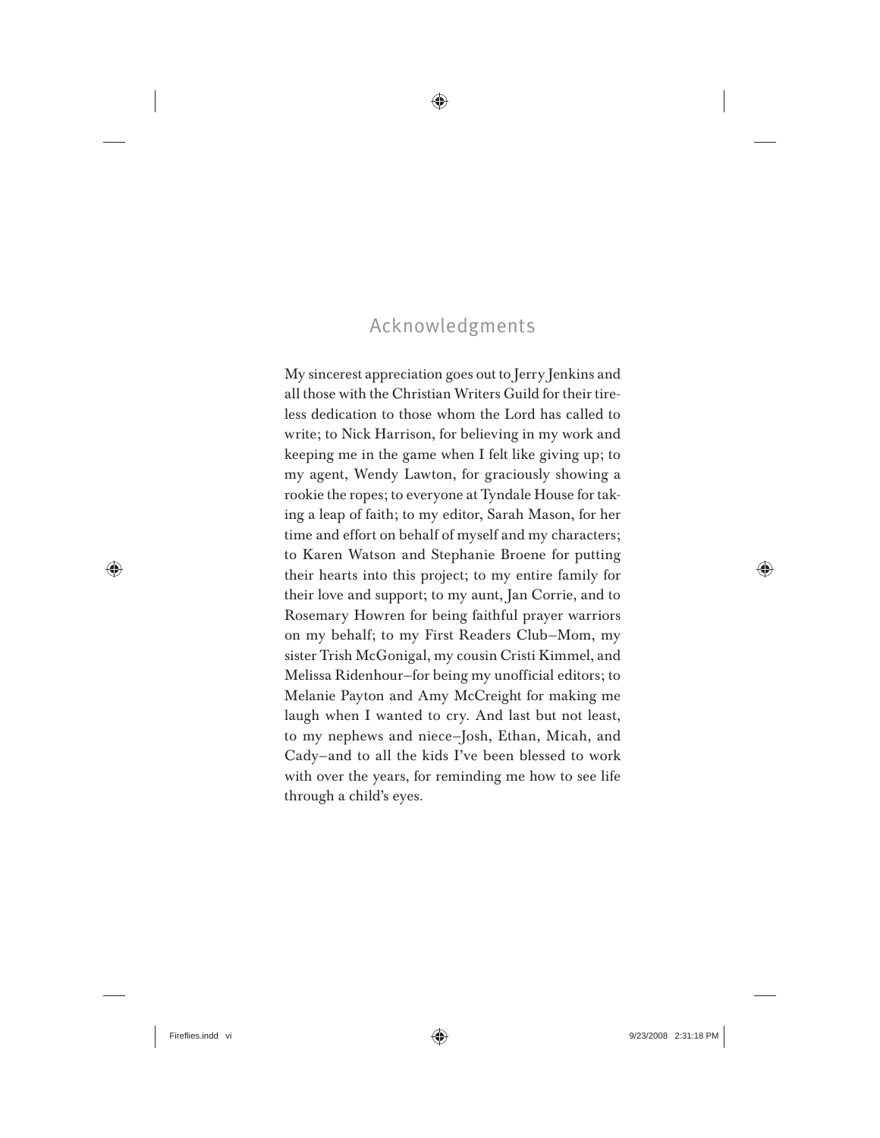# Acknowledgments

My sincerest appreciation goes out to Jerry Jenkins and all those with the Christian Writers Guild for their tireless dedication to those whom the Lord has called to write; to Nick Harrison, for believing in my work and keeping me in the game when I felt like giving up; to my agent, Wendy Lawton, for graciously showing a rookie the ropes; to everyone at Tyndale House for taking a leap of faith; to my editor, Sarah Mason, for her time and effort on behalf of myself and my characters; to Karen Watson and Stephanie Broene for putting their hearts into this project; to my entire family for their love and support; to my aunt, Jan Corrie, and to Rosemary Howren for being faithful prayer warriors on my behalf; to my First Readers Club—Mom, my sister Trish McGonigal, my cousin Cristi Kimmel, and Melissa Ridenhour—for being my unofficial editors; to Melanie Payton and Amy McCreight for making me laugh when I wanted to cry. And last but not least, to my nephews and niece—Josh, Ethan, Micah, and Cady—and to all the kids I've been blessed to work with over the years, for reminding me how to see life through a child's eyes.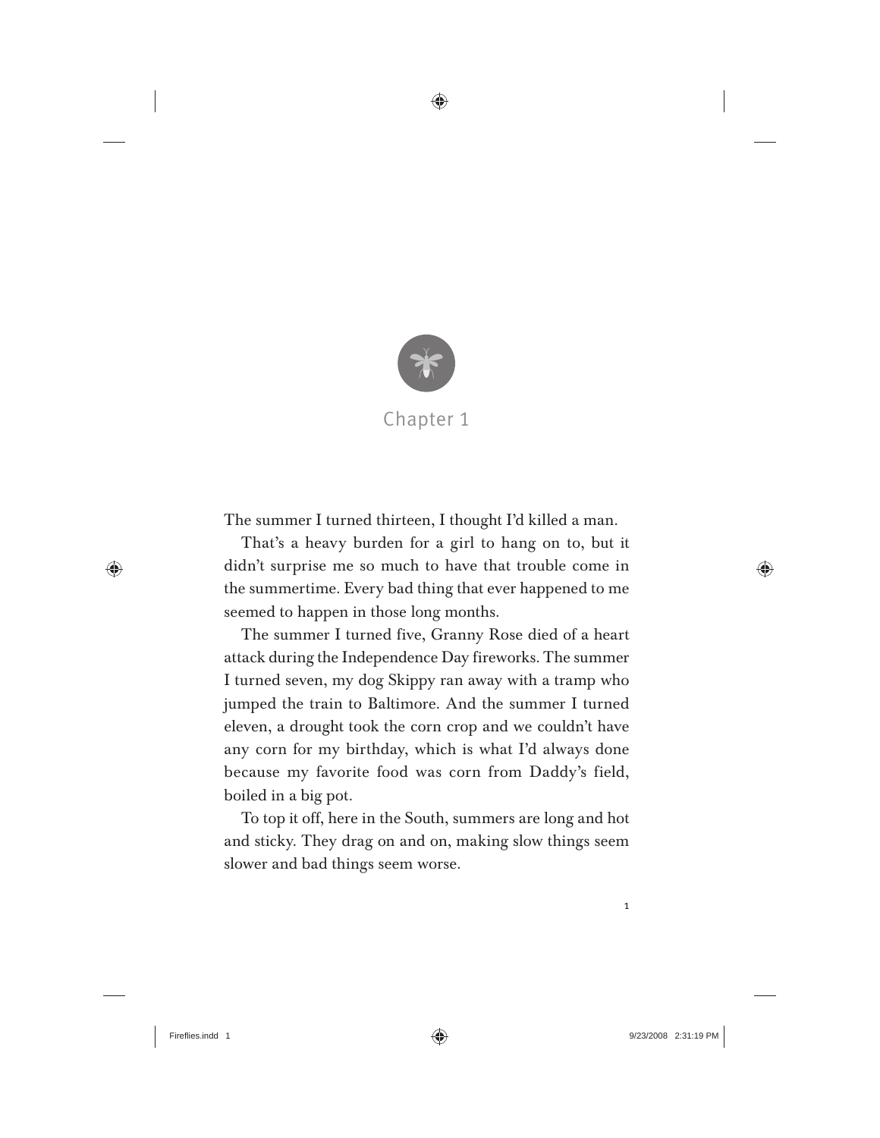

The summer I turned thirteen, I thought I'd killed a man.

That's a heavy burden for a girl to hang on to, but it didn't surprise me so much to have that trouble come in the summer time. Every bad thing that ever happened to me seemed to happen in those long months.

The summer I turned five, Granny Rose died of a heart attack during the Independence Day fireworks. The summer I turned seven, my dog Skippy ran away with a tramp who jumped the train to Baltimore. And the summer I turned eleven, a drought took the corn crop and we couldn't have any corn for my birthday, which is what I'd always done because my favorite food was corn from Daddy's field, boiled in a big pot.

To top it off, here in the South, summers are long and hot and sticky. They drag on and on, making slow things seem slower and bad things seem worse.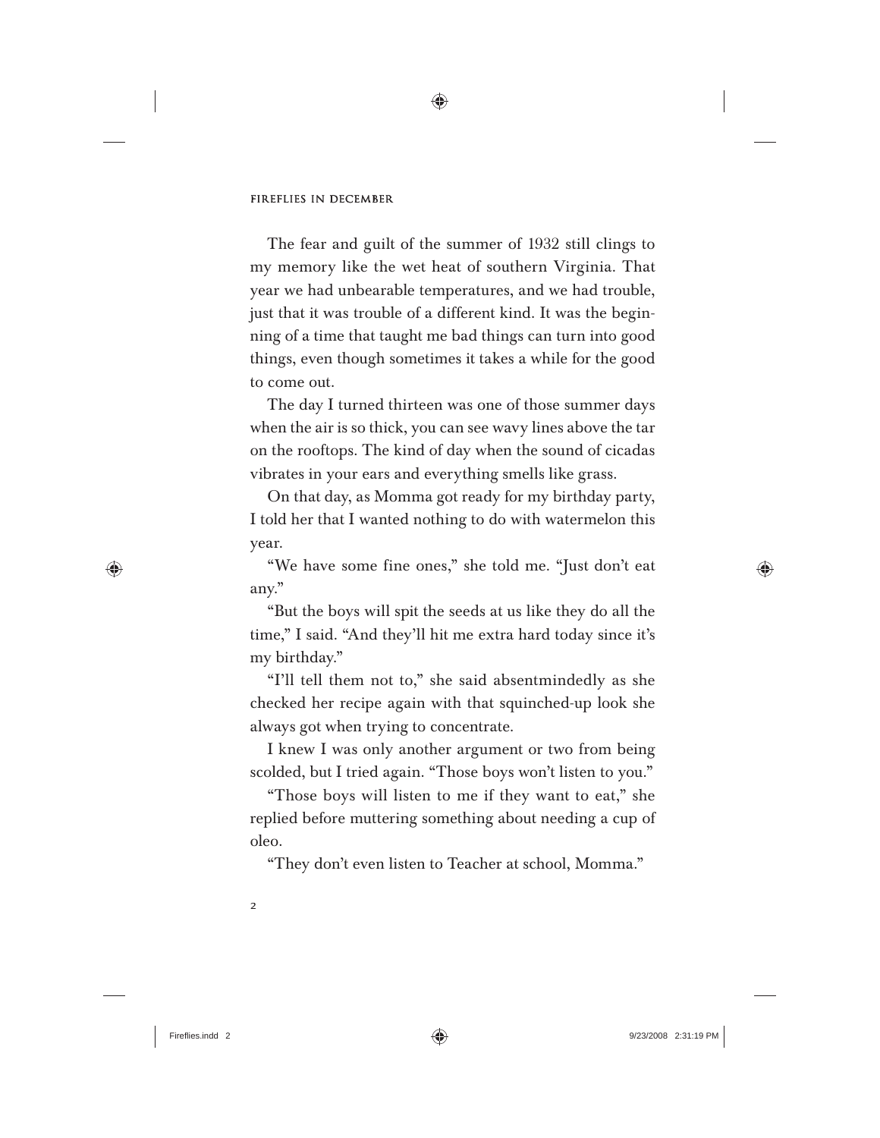The fear and guilt of the summer of 1932 still clings to my memory like the wet heat of southern Virginia. That year we had unbearable temperatures, and we had trouble, just that it was trouble of a different kind. It was the beginning of a time that taught me bad things can turn into good things, even though sometimes it takes a while for the good to come out.

The day I turned thirteen was one of those summer days when the air is so thick, you can see wavy lines above the tar on the rooftops. The kind of day when the sound of cicadas vibrates in your ears and everything smells like grass.

On that day, as Momma got ready for my birthday party, I told her that I wanted nothing to do with watermelon this year.

"We have some fine ones," she told me. "Just don't eat any."

"But the boys will spit the seeds at us like they do all the time," I said. "And they'll hit me extra hard today since it's my birthday."

"I'll tell them not to," she said absentmindedly as she checked her recipe again with that squinched-up look she always got when trying to concentrate.

I knew I was only another argument or two from being scolded, but I tried again. "Those boys won't listen to you."

"Those boys will listen to me if they want to eat," she replied before muttering something about needing a cup of oleo.

"They don't even listen to Teacher at school, Momma."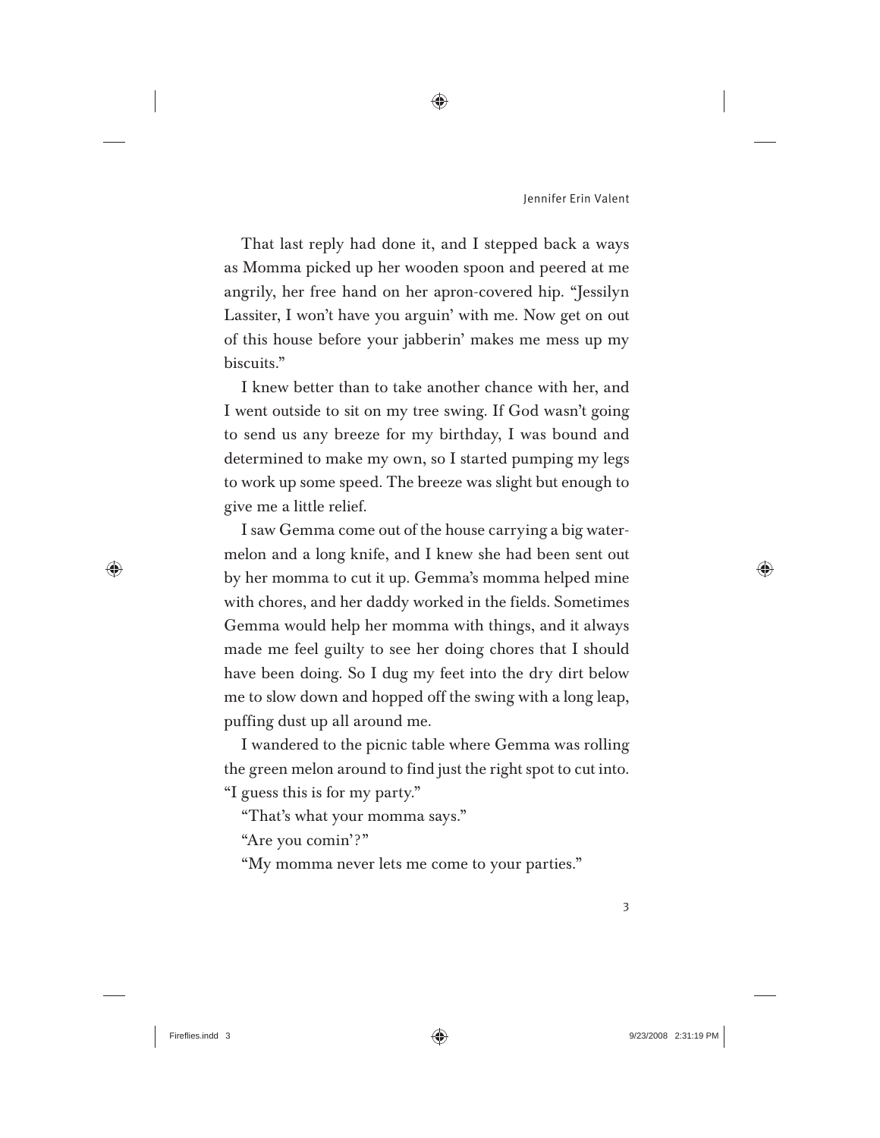That last reply had done it, and I stepped back a ways as Momma picked up her wooden spoon and peered at me angrily, her free hand on her apron-covered hip. "Jessilyn Lassiter, I won't have you arguin' with me. Now get on out of this house before your jabberin' makes me mess up my biscuits."

I knew better than to take another chance with her, and I went outside to sit on my tree swing. If God wasn't going to send us any breeze for my birthday, I was bound and determined to make my own, so I started pumping my legs to work up some speed. The breeze was slight but enough to give me a little relief.

I saw Gemma come out of the house carrying a big watermelon and a long knife, and I knew she had been sent out by her momma to cut it up. Gemma's momma helped mine with chores, and her daddy worked in the fields. Sometimes Gemma would help her momma with things, and it always made me feel guilty to see her doing chores that I should have been doing. So I dug my feet into the dry dirt below me to slow down and hopped off the swing with a long leap, puffing dust up all around me.

I wandered to the picnic table where Gemma was rolling the green melon around to find just the right spot to cut into. "I guess this is for my party."

"That's what your momma says."

"Are you comin'?"

"My momma never lets me come to your parties."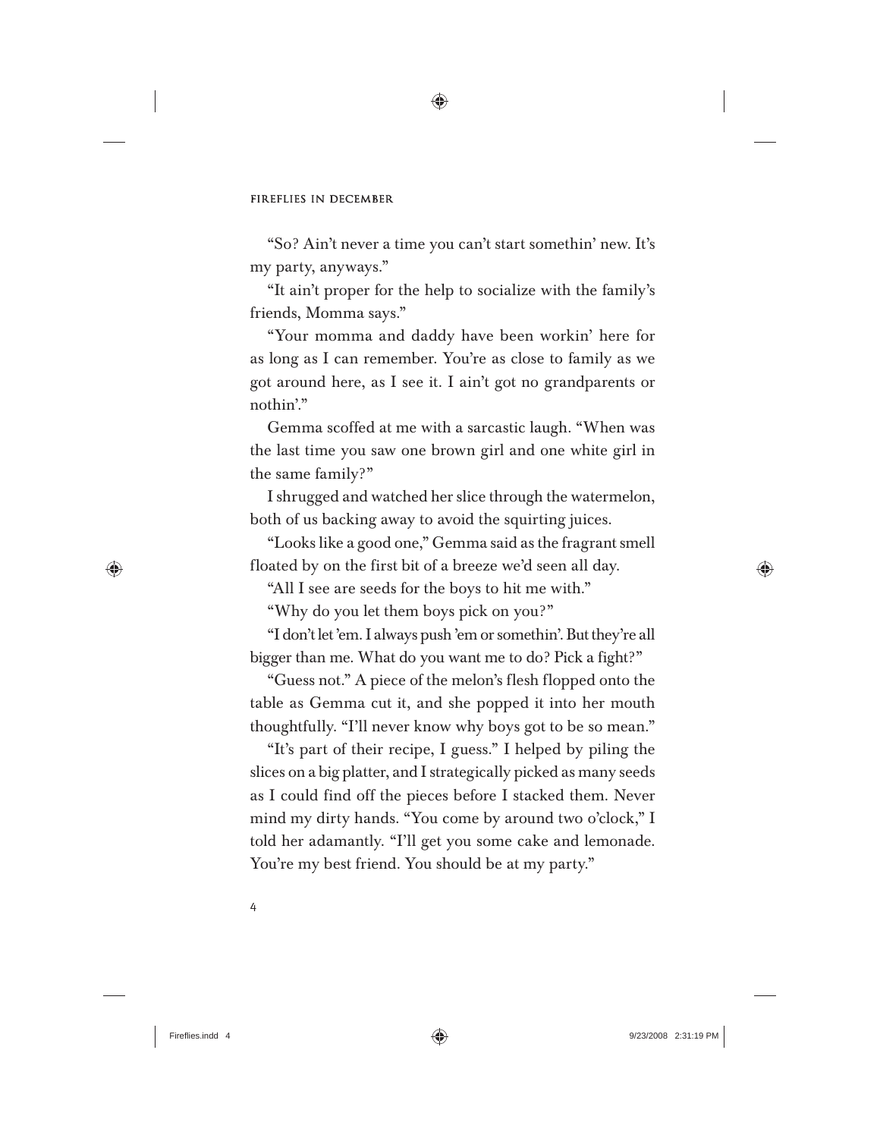"So? Ain't never a time you can't start somethin' new. It's my party, anyways."

"It ain't proper for the help to socialize with the family's friends, Momma says."

"Your momma and daddy have been workin' here for as long as I can remember. You're as close to family as we got around here, as I see it. I ain't got no grandparents or nothin'."

Gemma scoffed at me with a sarcastic laugh. "When was the last time you saw one brown girl and one white girl in the same family?"

I shrugged and watched her slice through the watermelon, both of us backing away to avoid the squirting juices.

"Looks like a good one," Gemma said as the fragrant smell floated by on the first bit of a breeze we'd seen all day.

"All I see are seeds for the boys to hit me with."

"Why do you let them boys pick on you?"

"I don't let 'em. I always push 'em or somethin'. But they're all bigger than me. What do you want me to do? Pick a fight?"

"Guess not." A piece of the melon's flesh flopped onto the table as Gemma cut it, and she popped it into her mouth thoughtfully. "I'll never know why boys got to be so mean."

"It's part of their recipe, I guess." I helped by piling the slices on a big platter, and I strategically picked as many seeds as I could find off the pieces before I stacked them. Never mind my dirty hands. "You come by around two o'clock," I told her adamantly. "I'll get you some cake and lemonade. You're my best friend. You should be at my party."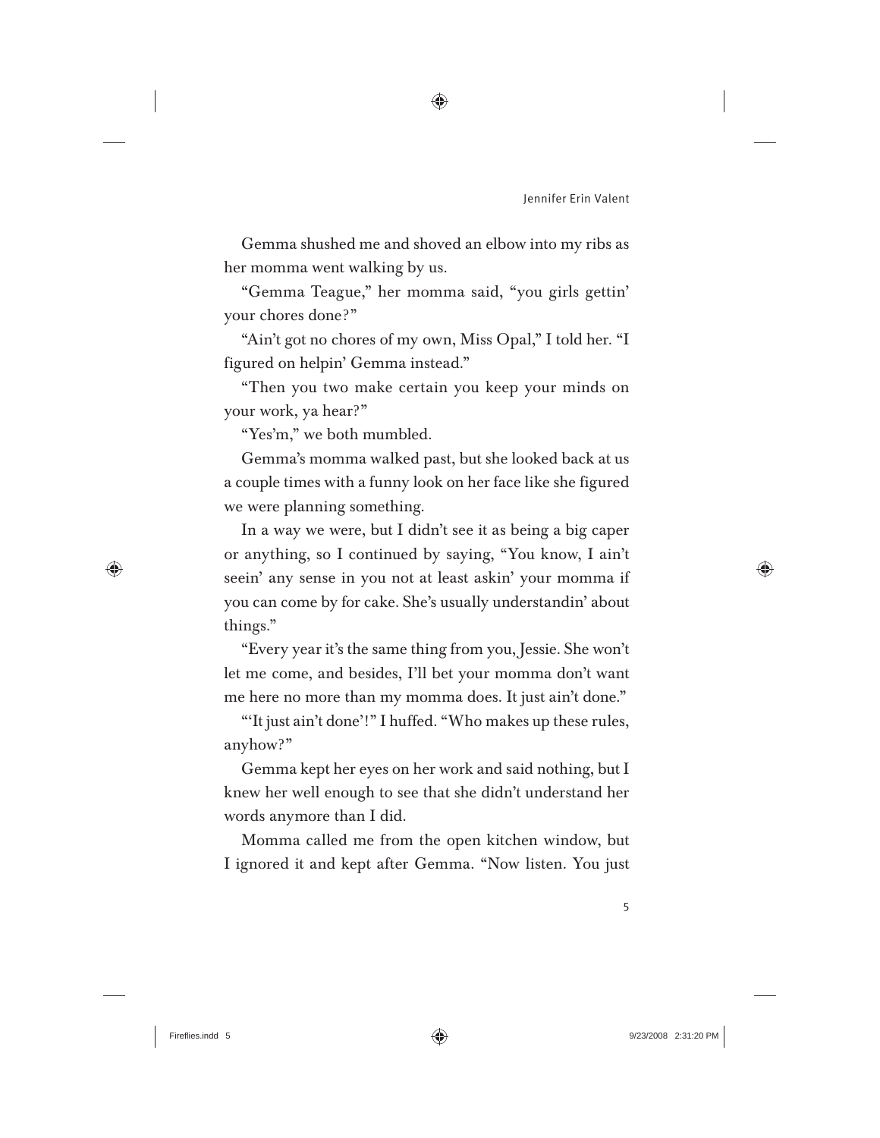Gemma shushed me and shoved an elbow into my ribs as her momma went walking by us.

"Gemma Teague," her momma said, "you girls gettin' your chores done?"

"Ain't got no chores of my own, Miss Opal," I told her. "I figured on helpin' Gemma instead."

"Then you two make certain you keep your minds on your work, ya hear?"

"Yes'm," we both mumbled.

Gemma's momma walked past, but she looked back at us a couple times with a funny look on her face like she figured we were planning something.

In a way we were, but I didn't see it as being a big caper or anything, so I continued by saying, "You know, I ain't seein' any sense in you not at least askin' your momma if you can come by for cake. She's usually understandin' about things."

"Every year it's the same thing from you, Jessie. She won't let me come, and besides, I'll bet your momma don't want me here no more than my momma does. It just ain't done."

"'It just ain't done'!" I huffed. "Who makes up these rules, anyhow?"

Gemma kept her eyes on her work and said nothing, but I knew her well enough to see that she didn't understand her words anymore than I did.

Momma called me from the open kitchen window, but I ignored it and kept after Gemma. "Now listen. You just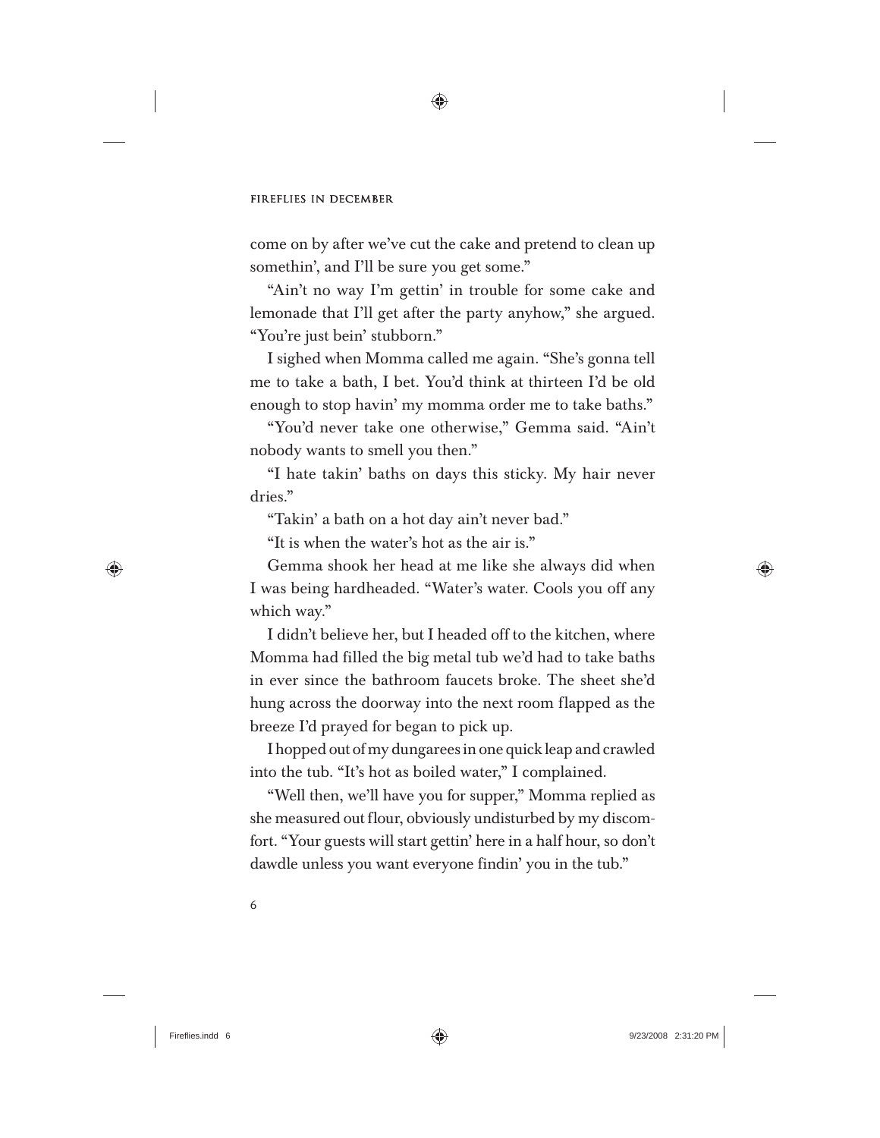come on by after we've cut the cake and pretend to clean up somethin', and I'll be sure you get some."

"Ain't no way I'm gettin' in trouble for some cake and lemonade that I'll get after the party anyhow," she argued. "You're just bein' stubborn."

I sighed when Momma called me again. "She's gonna tell me to take a bath, I bet. You'd think at thirteen I'd be old enough to stop havin' my momma order me to take baths."

"You'd never take one otherwise," Gemma said. "Ain't nobody wants to smell you then."

"I hate takin' baths on days this sticky. My hair never dries."

"Takin' a bath on a hot day ain't never bad."

"It is when the water's hot as the air is."

Gemma shook her head at me like she always did when I was being hardheaded. "Water's water. Cools you off any which way."

I didn't believe her, but I headed off to the kitchen, where Momma had filled the big metal tub we'd had to take baths in ever since the bathroom faucets broke. The sheet she'd hung across the doorway into the next room flapped as the breeze I'd prayed for began to pick up.

I hopped out of my dungarees in one quick leap and crawled into the tub. "It's hot as boiled water," I complained.

"Well then, we'll have you for supper," Momma replied as she measured out flour, obviously undisturbed by my discomfort. "Your guests will start gettin' here in a half hour, so don't dawdle unless you want everyone findin' you in the tub."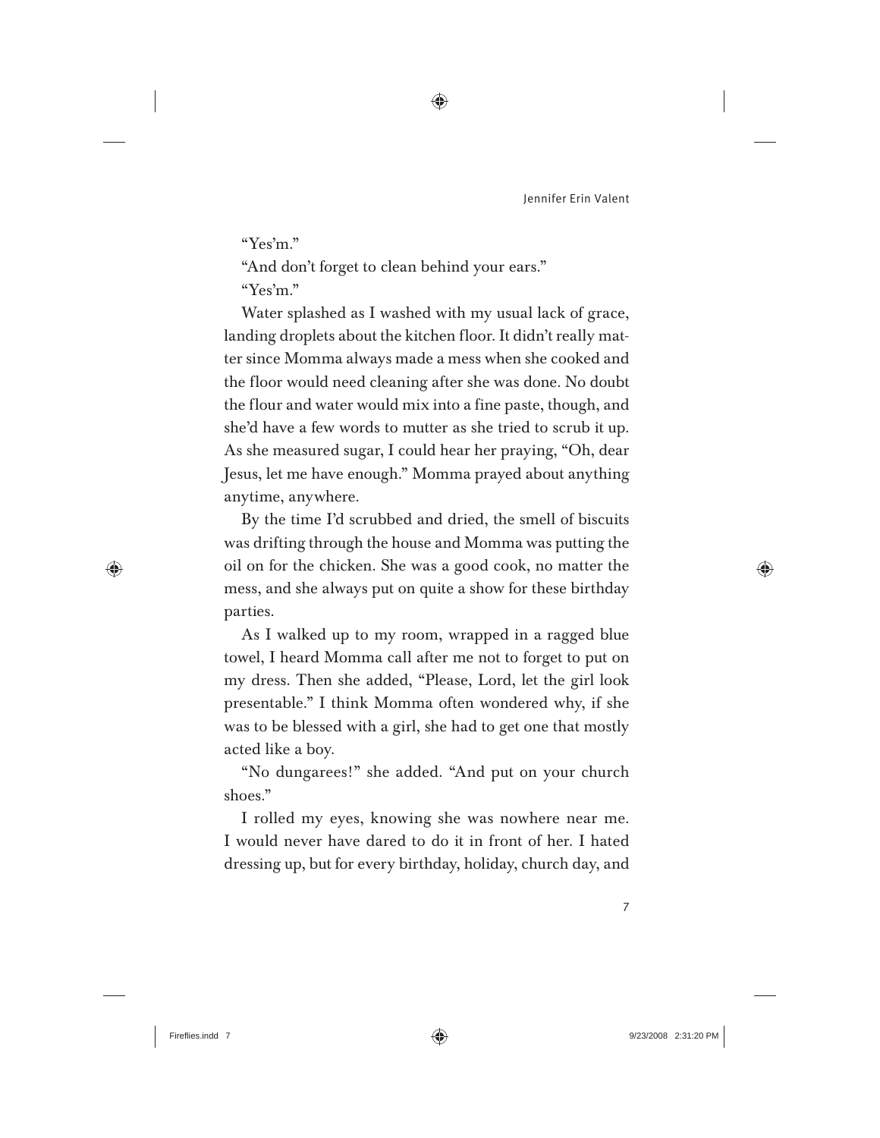"Yes'm."

"And don't forget to clean behind your ears."

"Yes'm."

Water splashed as I washed with my usual lack of grace, landing droplets about the kitchen floor. It didn't really matter since Momma always made a mess when she cooked and the floor would need cleaning after she was done. No doubt the flour and water would mix into a fine paste, though, and she'd have a few words to mutter as she tried to scrub it up. As she measured sugar, I could hear her praying, "Oh, dear Jesus, let me have enough." Momma prayed about anything anytime, anywhere.

By the time I'd scrubbed and dried, the smell of biscuits was drifting through the house and Momma was putting the oil on for the chicken. She was a good cook, no matter the mess, and she always put on quite a show for these birthday parties.

As I walked up to my room, wrapped in a ragged blue towel, I heard Momma call after me not to forget to put on my dress. Then she added, "Please, Lord, let the girl look presentable." I think Momma often wondered why, if she was to be blessed with a girl, she had to get one that mostly acted like a boy.

"No dungarees!" she added. "And put on your church shoes."

I rolled my eyes, knowing she was nowhere near me. I would never have dared to do it in front of her. I hated dressing up, but for every birthday, holiday, church day, and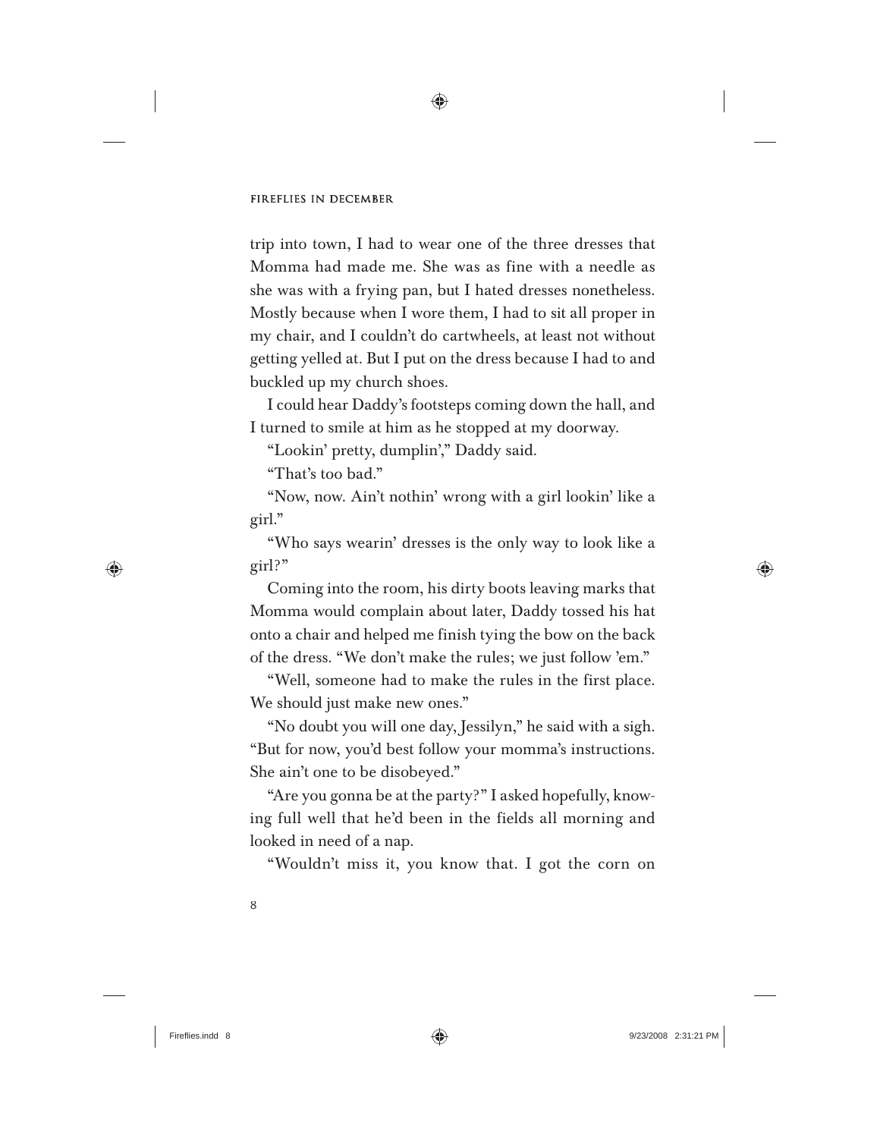trip into town, I had to wear one of the three dresses that Momma had made me. She was as fine with a needle as she was with a frying pan, but I hated dresses nonetheless. Mostly because when I wore them, I had to sit all proper in my chair, and I couldn't do cartwheels, at least not without getting yelled at. But I put on the dress because I had to and buckled up my church shoes.

I could hear Daddy's footsteps coming down the hall, and I turned to smile at him as he stopped at my doorway.

"Lookin' pretty, dumplin'," Daddy said.

"That's too bad."

"Now, now. Ain't nothin' wrong with a girl lookin' like a girl."

"Who says wearin' dresses is the only way to look like a girl?"

Coming into the room, his dirty boots leaving marks that Momma would complain about later, Daddy tossed his hat onto a chair and helped me finish tying the bow on the back of the dress. "We don't make the rules; we just follow 'em."

"Well, someone had to make the rules in the first place. We should just make new ones."

"No doubt you will one day, Jessilyn," he said with a sigh. "But for now, you'd best follow your momma's instructions. She ain't one to be disobeyed."

"Are you gonna be at the party?" I asked hopefully, knowing full well that he'd been in the fields all morning and looked in need of a nap.

"Wouldn't miss it, you know that. I got the corn on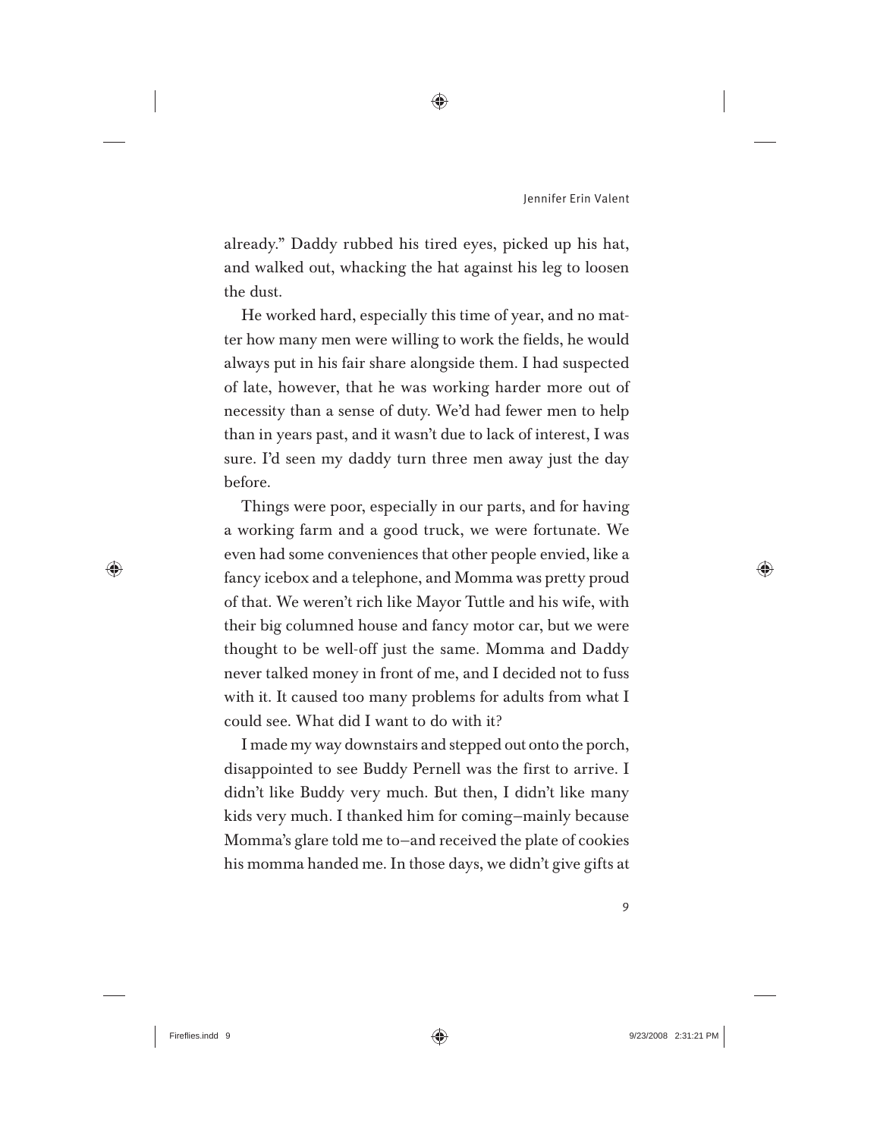already." Daddy rubbed his tired eyes, picked up his hat, and walked out, whacking the hat against his leg to loosen the dust.

He worked hard, especially this time of year, and no matter how many men were willing to work the fields, he would always put in his fair share alongside them. I had suspected of late, however, that he was working harder more out of necessity than a sense of duty. We'd had fewer men to help than in years past, and it wasn't due to lack of interest, I was sure. I'd seen my daddy turn three men away just the day before.

Things were poor, especially in our parts, and for having a working farm and a good truck, we were fortunate. We even had some conveniences that other people envied, like a fancy icebox and a telephone, and Momma was pretty proud of that. We weren't rich like Mayor Tuttle and his wife, with their big columned house and fancy motor car, but we were thought to be well-off just the same. Momma and Daddy never talked money in front of me, and I decided not to fuss with it. It caused too many problems for adults from what I could see. What did I want to do with it?

I made my way downstairs and stepped out onto the porch, disappointed to see Buddy Pernell was the first to arrive. I didn't like Buddy very much. But then, I didn't like many kids very much. I thanked him for coming—mainly because Momma's glare told me to—and received the plate of cookies his momma handed me. In those days, we didn't give gifts at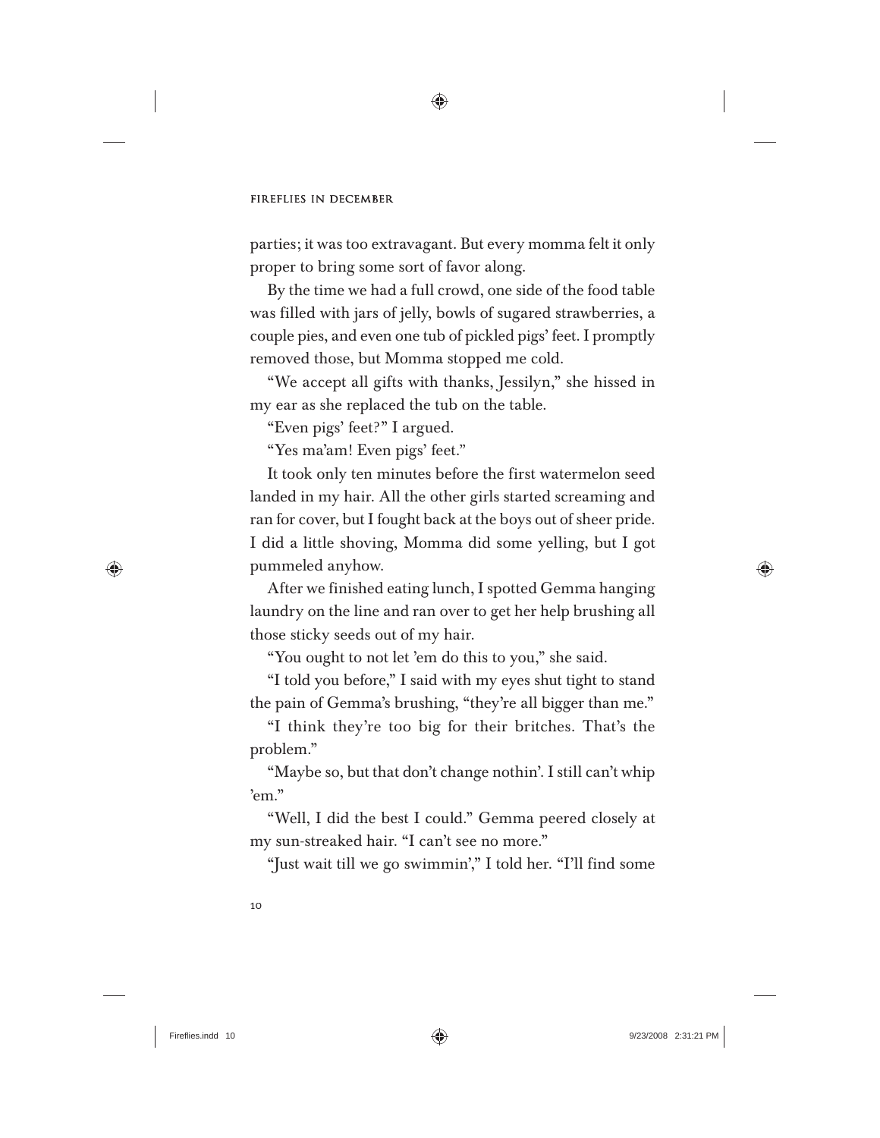parties; it was too extravagant. But every momma felt it only proper to bring some sort of favor along.

By the time we had a full crowd, one side of the food table was filled with jars of jelly, bowls of sugared strawberries, a couple pies, and even one tub of pickled pigs' feet. I promptly removed those, but Momma stopped me cold.

"We accept all gifts with thanks, Jessilyn," she hissed in my ear as she replaced the tub on the table.

"Even pigs' feet?" I argued.

"Yes ma'am! Even pigs' feet."

It took only ten minutes before the first watermelon seed landed in my hair. All the other girls started screaming and ran for cover, but I fought back at the boys out of sheer pride. I did a little shoving, Momma did some yelling, but I got pummeled anyhow.

After we finished eating lunch, I spotted Gemma hanging laundry on the line and ran over to get her help brushing all those sticky seeds out of my hair.

"You ought to not let 'em do this to you," she said.

"I told you before," I said with my eyes shut tight to stand the pain of Gemma's brushing, "they're all bigger than me."

"I think they're too big for their britches. That's the problem."

"Maybe so, but that don't change nothin'. I still can't whip 'em."

"Well, I did the best I could." Gemma peered closely at my sun-streaked hair. "I can't see no more."

"Just wait till we go swimmin'," I told her. "I'll find some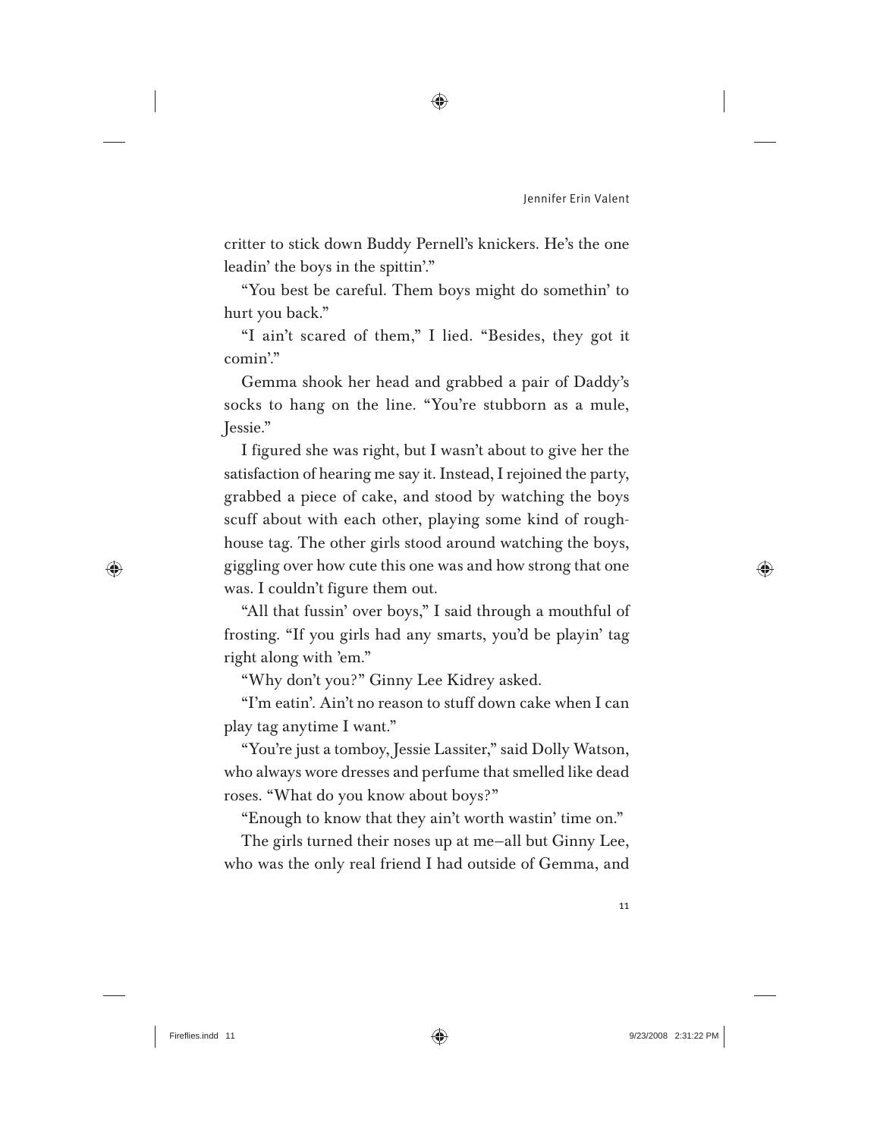critter to stick down Buddy Pernell's knickers. He's the one leadin' the boys in the spittin'."

"You best be careful. Them boys might do somethin' to hurt you back."

"I ain't scared of them," I lied. "Besides, they got it comin'."

Gemma shook her head and grabbed a pair of Daddy's socks to hang on the line. "You're stubborn as a mule, Jessie."

I figured she was right, but I wasn't about to give her the satisfaction of hearing me say it. Instead, I rejoined the party, grabbed a piece of cake, and stood by watching the boys scuff about with each other, playing some kind of roughhouse tag. The other girls stood around watching the boys, giggling over how cute this one was and how strong that one was. I couldn't figure them out.

"All that fussin' over boys," I said through a mouthful of frosting. "If you girls had any smarts, you'd be playin' tag right along with 'em."

"Why don't you?" Ginny Lee Kidrey asked.

"I'm eatin'. Ain't no reason to stuff down cake when I can play tag anytime I want."

"You're just a tomboy, Jessie Lassiter," said Dolly Watson, who always wore dresses and perfume that smelled like dead roses. "What do you know about boys?"

"Enough to know that they ain't worth wastin' time on."

The girls turned their noses up at me—all but Ginny Lee, who was the only real friend I had outside of Gemma, and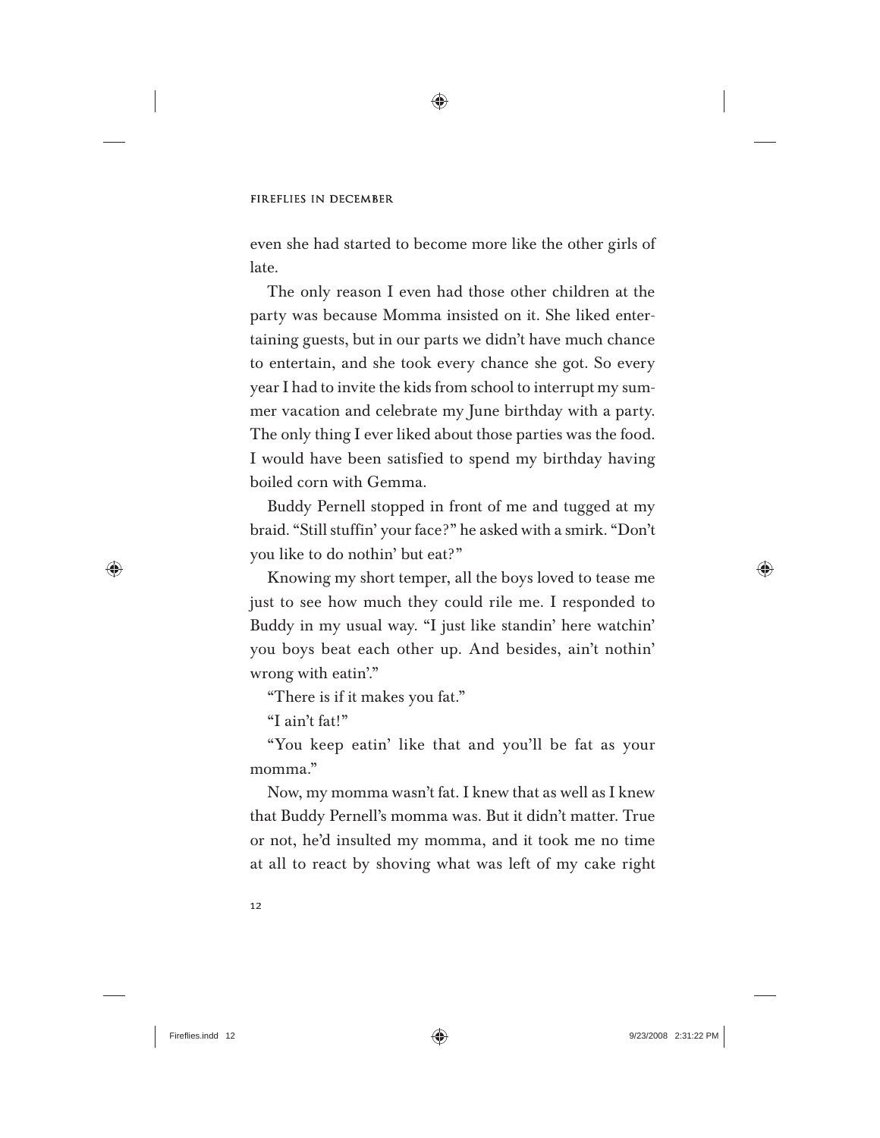even she had started to become more like the other girls of late.

The only reason I even had those other children at the party was because Momma insisted on it. She liked entertaining guests, but in our parts we didn't have much chance to entertain, and she took every chance she got. So every year I had to invite the kids from school to interrupt my summer vacation and celebrate my June birthday with a party. The only thing I ever liked about those parties was the food. I would have been satisfied to spend my birthday having boiled corn with Gemma.

Buddy Pernell stopped in front of me and tugged at my braid. "Still stuffin' your face?" he asked with a smirk. "Don't you like to do nothin' but eat?"

Knowing my short temper, all the boys loved to tease me just to see how much they could rile me. I responded to Buddy in my usual way. "I just like standin' here watchin' you boys beat each other up. And besides, ain't nothin' wrong with eatin'."

"There is if it makes you fat."

"I ain't fat!"

"You keep eatin' like that and you'll be fat as your momma."

Now, my momma wasn't fat. I knew that as well as I knew that Buddy Pernell's momma was. But it didn't matter. True or not, he'd insulted my momma, and it took me no time at all to react by shoving what was left of my cake right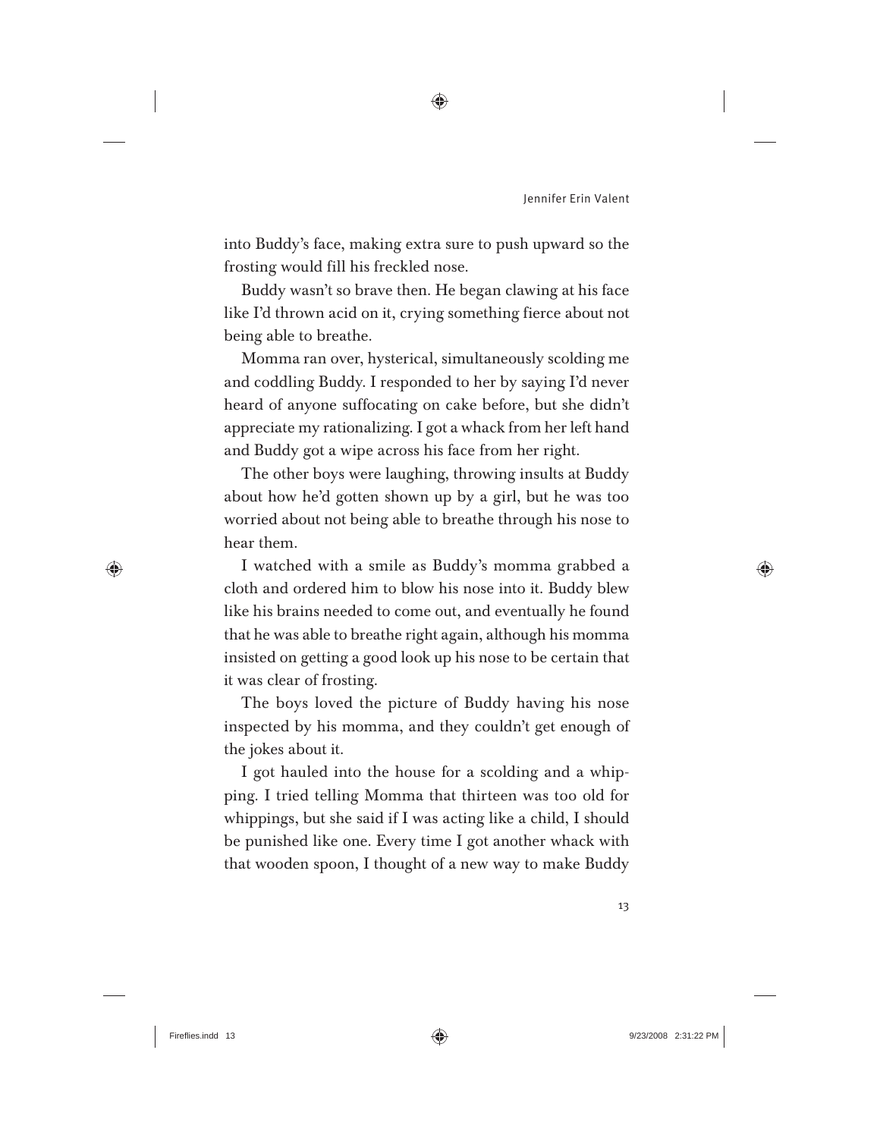into Buddy's face, making extra sure to push upward so the frosting would fill his freckled nose.

Buddy wasn't so brave then. He began clawing at his face like I'd thrown acid on it, crying something fierce about not being able to breathe.

Momma ran over, hysterical, simultaneously scolding me and coddling Buddy. I responded to her by saying I'd never heard of anyone suffocating on cake before, but she didn't appreciate my rationalizing. I got a whack from her left hand and Buddy got a wipe across his face from her right.

The other boys were laughing, throwing insults at Buddy about how he'd gotten shown up by a girl, but he was too worried about not being able to breathe through his nose to hear them.

I watched with a smile as Buddy's momma grabbed a cloth and ordered him to blow his nose into it. Buddy blew like his brains needed to come out, and eventually he found that he was able to breathe right again, although his momma insisted on getting a good look up his nose to be certain that it was clear of frosting.

The boys loved the picture of Buddy having his nose inspected by his momma, and they couldn't get enough of the jokes about it.

I got hauled into the house for a scolding and a whipping. I tried telling Momma that thirteen was too old for whippings, but she said if I was acting like a child, I should be punished like one. Every time I got another whack with that wooden spoon, I thought of a new way to make Buddy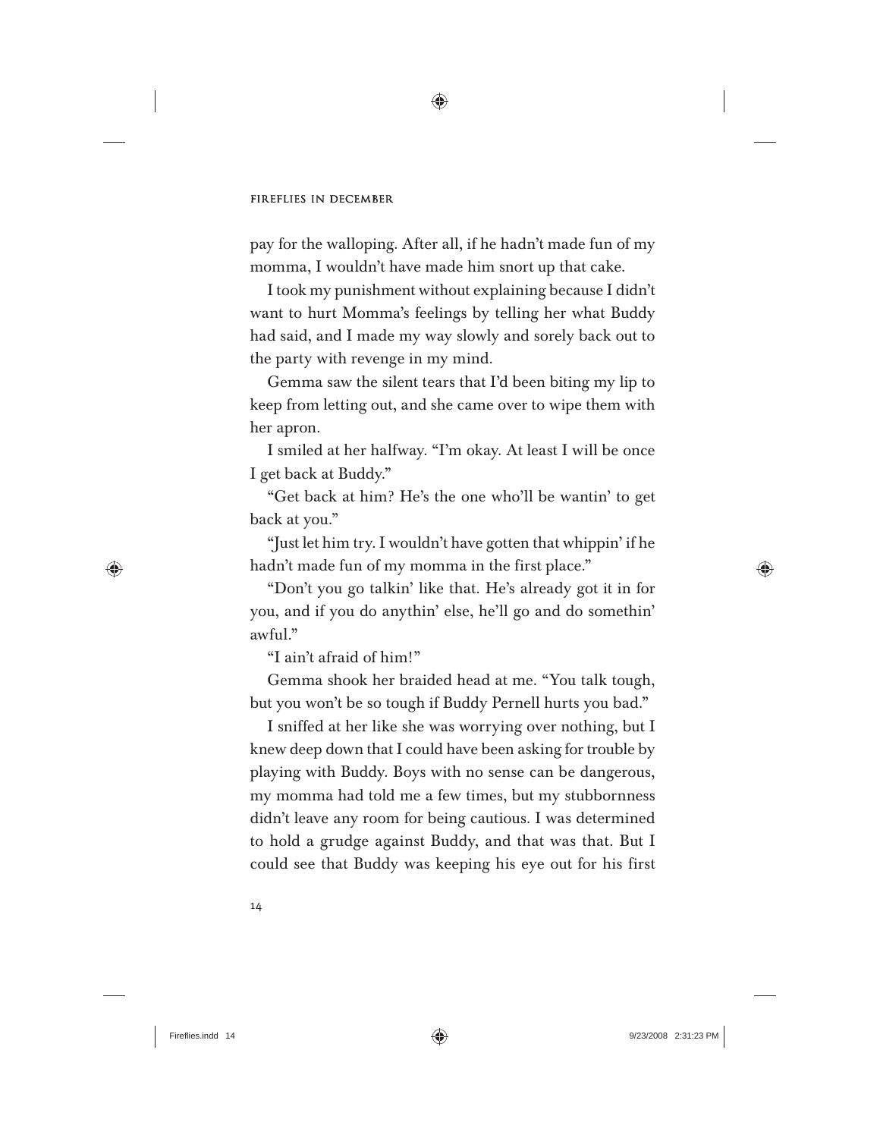pay for the walloping. After all, if he hadn't made fun of my momma, I wouldn't have made him snort up that cake.

I took my punishment without explaining because I didn't want to hurt Momma's feelings by telling her what Buddy had said, and I made my way slowly and sorely back out to the party with revenge in my mind.

Gemma saw the silent tears that I'd been biting my lip to keep from letting out, and she came over to wipe them with her apron.

I smiled at her halfway. "I'm okay. At least I will be once I get back at Buddy."

"Get back at him? He's the one who'll be wantin' to get back at you."

"Just let him try. I wouldn't have gotten that whippin' if he hadn't made fun of my momma in the first place."

"Don't you go talkin' like that. He's already got it in for you, and if you do anythin' else, he'll go and do somethin' awful."

"I ain't afraid of him!"

Gemma shook her braided head at me. "You talk tough, but you won't be so tough if Buddy Pernell hurts you bad."

I sniffed at her like she was worrying over nothing, but I knew deep down that I could have been asking for trouble by playing with Buddy. Boys with no sense can be dangerous, my momma had told me a few times, but my stubbornness didn't leave any room for being cautious. I was determined to hold a grudge against Buddy, and that was that. But I could see that Buddy was keeping his eye out for his first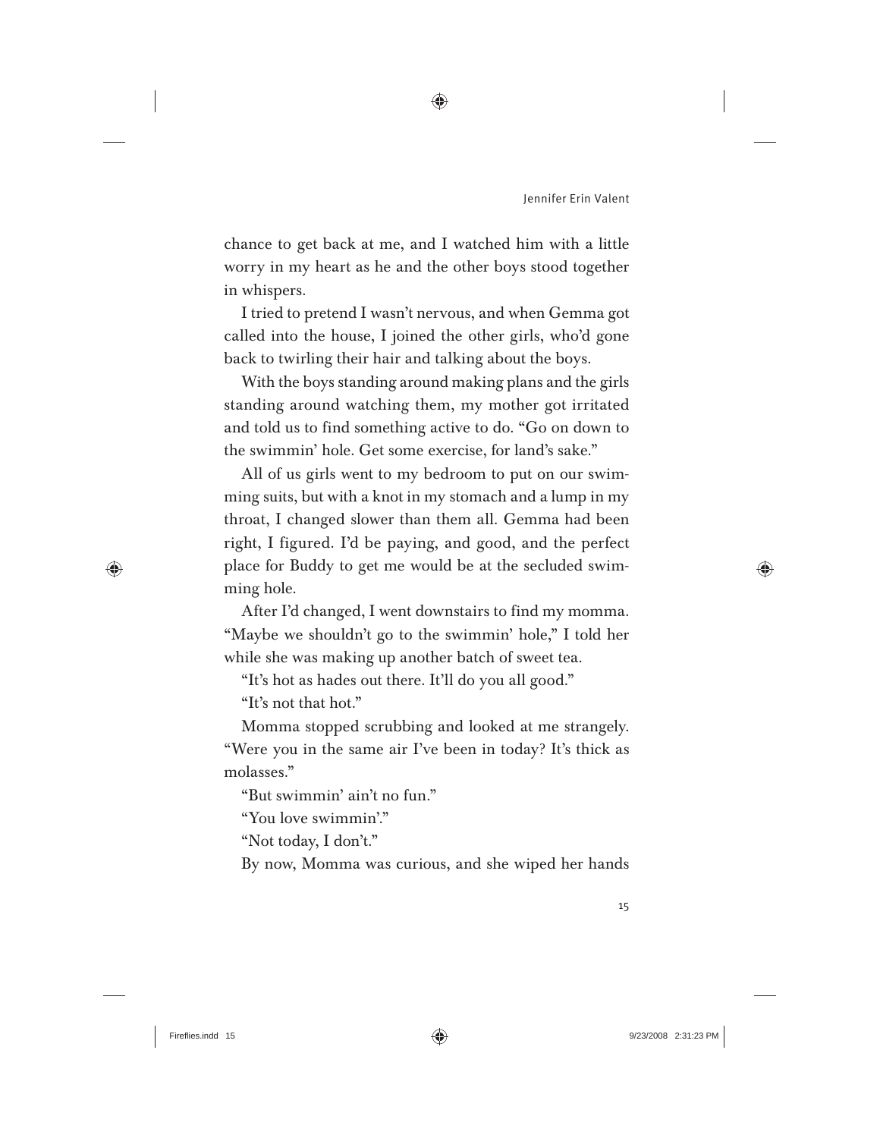chance to get back at me, and I watched him with a little worry in my heart as he and the other boys stood together in whispers.

I tried to pretend I wasn't nervous, and when Gemma got called into the house, I joined the other girls, who'd gone back to twirling their hair and talking about the boys.

With the boys standing around making plans and the girls standing around watching them, my mother got irritated and told us to find something active to do. "Go on down to the swimmin' hole. Get some exercise, for land's sake."

All of us girls went to my bedroom to put on our swimming suits, but with a knot in my stomach and a lump in my throat, I changed slower than them all. Gemma had been right, I figured. I'd be paying, and good, and the perfect place for Buddy to get me would be at the secluded swimming hole.

After I'd changed, I went downstairs to find my momma. "Maybe we shouldn't go to the swimmin' hole," I told her while she was making up another batch of sweet tea.

"It's hot as hades out there. It'll do you all good."

"It's not that hot."

Momma stopped scrubbing and looked at me strangely. "Were you in the same air I've been in today? It's thick as molasses."

"But swimmin' ain't no fun."

"You love swimmin'."

"Not today, I don't."

By now, Momma was curious, and she wiped her hands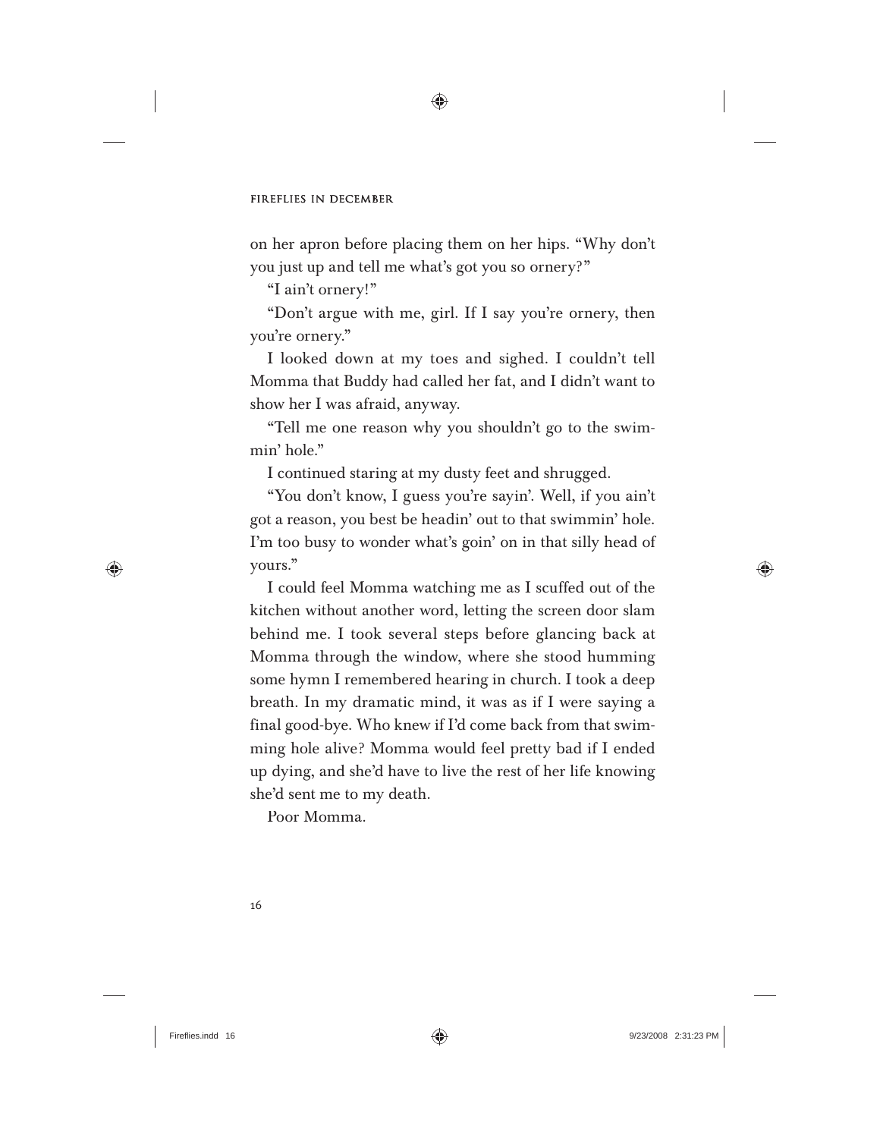on her apron before placing them on her hips. "Why don't you just up and tell me what's got you so ornery?"

"I ain't ornery!"

"Don't argue with me, girl. If I say you're ornery, then you're ornery."

I looked down at my toes and sighed. I couldn't tell Momma that Buddy had called her fat, and I didn't want to show her I was afraid, anyway.

"Tell me one reason why you shouldn't go to the swimmin' hole."

I continued staring at my dusty feet and shrugged.

"You don't know, I guess you're sayin'. Well, if you ain't got a reason, you best be headin' out to that swimmin' hole. I'm too busy to wonder what's goin' on in that silly head of yours."

I could feel Momma watching me as I scuffed out of the kitchen without another word, letting the screen door slam behind me. I took several steps before glancing back at Momma through the window, where she stood humming some hymn I remembered hearing in church. I took a deep breath. In my dramatic mind, it was as if I were saying a final good-bye. Who knew if I'd come back from that swimming hole alive? Momma would feel pretty bad if I ended up dying, and she'd have to live the rest of her life knowing she'd sent me to my death.

Poor Momma.